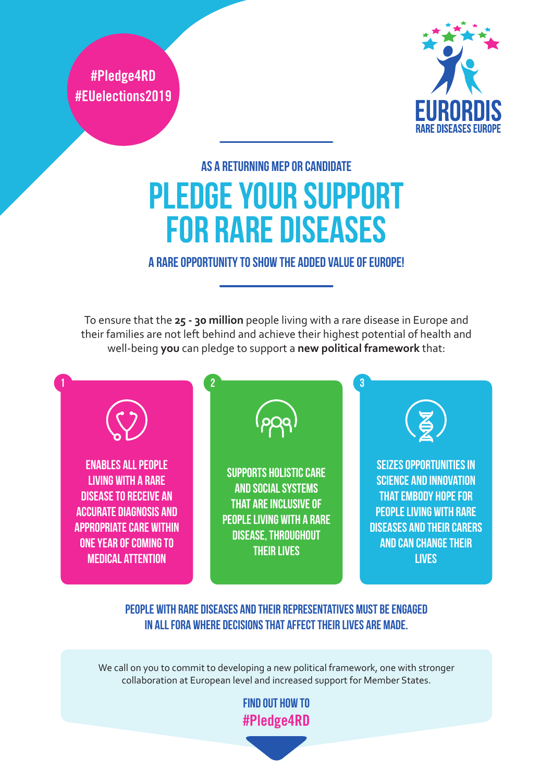**#Pledge4RD #EUelections2019**



# As a returning MEP or candidate Pledge Your Support for Rare Diseases

#### A rare opportunity to show the added value of Europe!

To ensure that the **25 - 30 million** people living with a rare disease in Europe and their families are not left behind and achieve their highest potential of health and well-being **you** can pledge to support a **new political framework** that:



#### people with rare diseases and their representatives must be engaged in all fora where decisions that affect their lives are made.

We call on you to commit to developing a new political framework, one with stronger collaboration at European level and increased support for Member States.

> Find out how to **#Pledge4RD**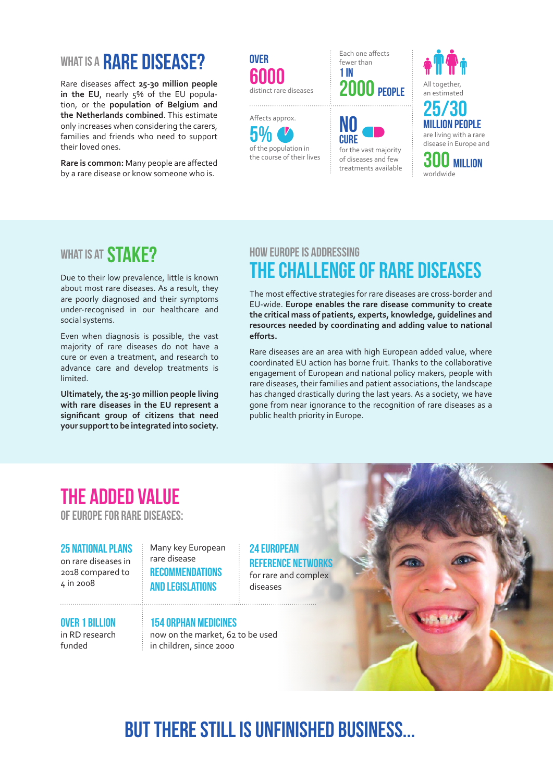## WHAT IS A RARE DISEASE?

Rare diseases affect **25-30 million people in the EU**, nearly 5% of the EU population, or the **population of Belgium and the Netherlands combined**. This estimate only increases when considering the carers, families and friends who need to support their loved ones.

**Rare is common:** Many people are affected by a rare disease or know someone who is.





Each one affects fewer than 1 in 2000 **PEOPLE** All together,





### WHAT IS AT **STAKE?**

Due to their low prevalence, little is known about most rare diseases. As a result, they are poorly diagnosed and their symptoms under-recognised in our healthcare and social systems.

Even when diagnosis is possible, the vast majority of rare diseases do not have a cure or even a treatment, and research to advance care and develop treatments is limited.

**Ultimately, the 25-30 million people living with rare diseases in the EU represent a significant group of citizens that need your support to be integrated into society.** 

### How Europe is addressing the challenge of rare diseases

The most effective strategies for rare diseases are cross-border and EU-wide. **Europe enables the rare disease community to create the critical mass of patients, experts, knowledge, guidelines and resources needed by coordinating and adding value to national efforts.**

Rare diseases are an area with high European added value, where coordinated EU action has borne fruit. Thanks to the collaborative engagement of European and national policy makers, people with rare diseases, their families and patient associations, the landscape has changed drastically during the last years. As a society, we have gone from near ignorance to the recognition of rare diseases as a public health priority in Europe.

## The added value

of Europe for rare diseases:

25 National Plans on rare diseases in 2018 compared to 4 in 2008

Many key European rare disease **RECOMMENDATIONS** and legislations

24 European Reference Networks for rare and complex diseases



funded

#### 154 orphan medicines

now on the market, 62 to be used in children, since 2000

## But there still is unfinished business...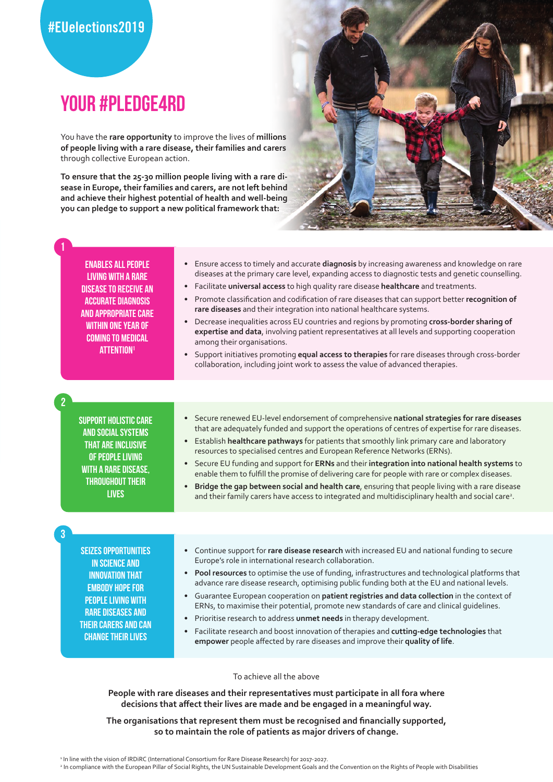## your #Pledge4RD

You have the **rare opportunity** to improve the lives of **millions of people living with a rare disease, their families and carers** through collective European action.

**To ensure that the 25-30 million people living with a rare disease in Europe, their families and carers, are not left behind and achieve their highest potential of health and well-being you can pledge to support a new political framework that:**



Enables all people living with a rare disease to receive an accurate diagnosis and appropriate care within one year of coming to medical **ATTENTION<sup>1</sup>** 

1

2

3

- Ensure access to timely and accurate **diagnosis** by increasing awareness and knowledge on rare diseases at the primary care level, expanding access to diagnostic tests and genetic counselling.
- Facilitate **universal access** to high quality rare disease **healthcare** and treatments.
- Promote classification and codification of rare diseases that can support better **recognition of rare diseases** and their integration into national healthcare systems.
- Decrease inequalities across EU countries and regions by promoting **cross-border sharing of expertise and data**, involving patient representatives at all levels and supporting cooperation among their organisations.
- Support initiatives promoting **equal access to therapies** for rare diseases through cross-border collaboration, including joint work to assess the value of advanced therapies.

Support holistic care and social systems that are inclusive of people living with a rare disease, throughout their **LIVES** 

- Secure renewed EU-level endorsement of comprehensive **national strategies for rare diseases** that are adequately funded and support the operations of centres of expertise for rare diseases.
- Establish **healthcare pathways** for patients that smoothly link primary care and laboratory resources to specialised centres and European Reference Networks (ERNs).
- Secure EU funding and support for **ERNs** and their **integration into national health systems** to enable them to fulfill the promise of delivering care for people with rare or complex diseases.
- **Bridge the gap between social and health care**, ensuring that people living with a rare disease and their family carers have access to integrated and multidisciplinary health and social care<sup>2</sup>.

Seizes opportunities in science and innovation that **EMBODY HOPE FOR** people living with rare diseases and their carers and can change their lives

- Continue support for **rare disease research** with increased EU and national funding to secure Europe's role in international research collaboration.
- **Pool resources** to optimise the use of funding, infrastructures and technological platforms that advance rare disease research, optimising public funding both at the EU and national levels.
- Guarantee European cooperation on **patient registries and data collection** in the context of ERNs, to maximise their potential, promote new standards of care and clinical guidelines.
- Prioritise research to address **unmet needs** in therapy development.
- Facilitate research and boost innovation of therapies and **cutting-edge technologies** that **empower** people affected by rare diseases and improve their **quality of life**.

To achieve all the above

**People with rare diseases and their representatives must participate in all fora where decisions that affect their lives are made and be engaged in a meaningful way.** 

#### **The organisations that represent them must be recognised and financially supported, so to maintain the role of patients as major drivers of change.**

1 In line with the vision of IRDiRC (International Consortium for Rare Disease Research) for 2017-2027.

<sup>&</sup>lt;sup>2</sup> In compliance with the European Pillar of Social Rights, the UN Sustainable Development Goals and the Convention on the Rights of People with Disabilities